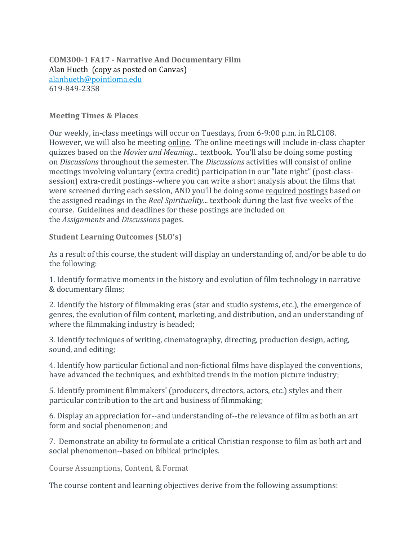**COM300-1 FA17 - Narrative And Documentary Film** Alan Hueth (copy as posted on Canvas) [alanhueth@pointloma.edu](mailto:alanhueth@pointloma.edu) 619-849-2358

### **Meeting Times & Places**

Our weekly, in-class meetings will occur on Tuesdays, from 6-9:00 p.m. in RLC108. However, we will also be meeting online. The online meetings will include in-class chapter quizzes based on the *Movies and Meaning...* textbook. You'll also be doing some posting on *Discussions* throughout the semester. The *Discussions* activities will consist of online meetings involving voluntary (extra credit) participation in our "late night" (post-classsession) extra-credit postings--where you can write a short analysis about the films that were screened during each session, AND you'll be doing some required postings based on the assigned readings in the *Reel Spirituality...* textbook during the last five weeks of the course. Guidelines and deadlines for these postings are included on the *Assignments* and *Discussions* pages.

**Student Learning Outcomes (SLO's)**

As a result of this course, the student will display an understanding of, and/or be able to do the following:

1. Identify formative moments in the history and evolution of film technology in narrative & documentary films;

2. Identify the history of filmmaking eras (star and studio systems, etc.), the emergence of genres, the evolution of film content, marketing, and distribution, and an understanding of where the filmmaking industry is headed;

3. Identify techniques of writing, cinematography, directing, production design, acting, sound, and editing;

4. Identify how particular fictional and non-fictional films have displayed the conventions, have advanced the techniques, and exhibited trends in the motion picture industry;

5. Identify prominent filmmakers' (producers, directors, actors, etc.) styles and their particular contribution to the art and business of filmmaking;

6. Display an appreciation for--and understanding of--the relevance of film as both an art form and social phenomenon; and

7. Demonstrate an ability to formulate a critical Christian response to film as both art and social phenomenon--based on biblical principles.

Course Assumptions, Content, & Format

The course content and learning objectives derive from the following assumptions: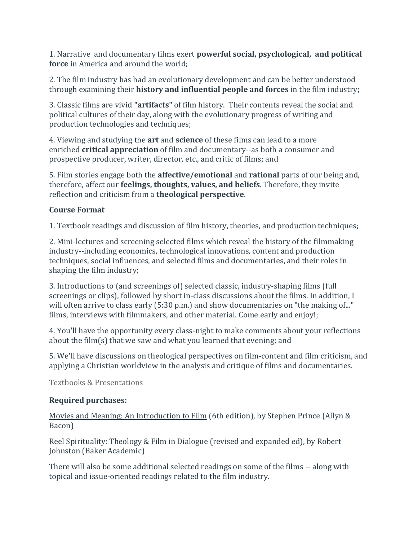1. Narrative and documentary films exert **powerful social, psychological, and political force** in America and around the world;

2. The film industry has had an evolutionary development and can be better understood through examining their **history and influential people and forces** in the film industry;

3. Classic films are vivid **"artifacts"** of film history. Their contents reveal the social and political cultures of their day, along with the evolutionary progress of writing and production technologies and techniques;

4. Viewing and studying the **art** and **science** of these films can lead to a more enriched **critical appreciation** of film and documentary--as both a consumer and prospective producer, writer, director, etc., and critic of films; and

5. Film stories engage both the **affective/emotional** and **rational** parts of our being and, therefore, affect our **feelings, thoughts, values, and beliefs**. Therefore, they invite reflection and criticism from a **theological perspective**.

# **Course Format**

1. Textbook readings and discussion of film history, theories, and production techniques;

2. Mini-lectures and screening selected films which reveal the history of the filmmaking industry--including economics, technological innovations, content and production techniques, social influences, and selected films and documentaries, and their roles in shaping the film industry;

3. Introductions to (and screenings of) selected classic, industry-shaping films (full screenings or clips), followed by short in-class discussions about the films. In addition, I will often arrive to class early (5:30 p.m.) and show documentaries on "the making of..." films, interviews with filmmakers, and other material. Come early and enjoy!;

4. You'll have the opportunity every class-night to make comments about your reflections about the film(s) that we saw and what you learned that evening; and

5. We'll have discussions on theological perspectives on film-content and film criticism, and applying a Christian worldview in the analysis and critique of films and documentaries.

Textbooks & Presentations

# **Required purchases:**

Movies and Meaning: An Introduction to Film (6th edition), by Stephen Prince (Allyn & Bacon)

Reel Spirituality: Theology & Film in Dialogue (revised and expanded ed), by Robert Johnston (Baker Academic)

There will also be some additional selected readings on some of the films -- along with topical and issue-oriented readings related to the film industry.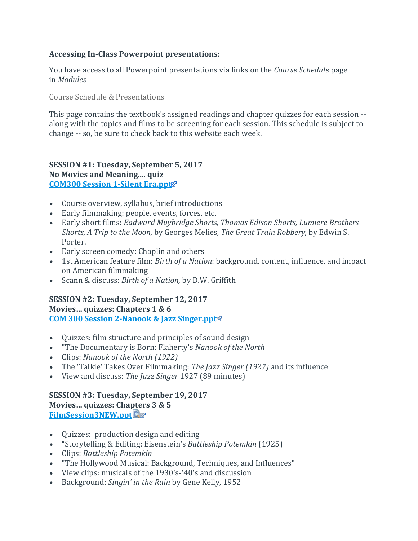## **Accessing In-Class Powerpoint presentations:**

You have access to all Powerpoint presentations via links on the *Course Schedule* page in *Modules*

Course Schedule & Presentations

This page contains the textbook's assigned readings and chapter quizzes for each session - along with the topics and films to be screening for each session. This schedule is subject to change -- so, be sure to check back to this website each week.

### **SESSION #1: Tuesday, September 5, 2017 No Movies and Meaning.... quiz [COM300 Session 1-Silent Era.ppt](https://canvas.pointloma.edu/courses/34280/files/1331945/download)**

- Course overview, syllabus, brief introductions
- Early filmmaking: people, events, forces, etc.
- Early short films: *Eadward Muybridge Shorts, Thomas Edison Shorts, Lumiere Brothers Shorts, A Trip to the Moon,* by Georges Melies*, The Great Train Robbery,* by Edwin S. Porter.
- Early screen comedy: Chaplin and others
- 1st American feature film: *Birth of a Nation*: background, content, influence, and impact on American filmmaking
- Scann & discuss: *Birth of a Nation,* by D.W. Griffith

### **SESSION #2: Tuesday, September 12, 2017 Movies… quizzes: Chapters 1 & 6 [COM 300 Session 2-Nanook & Jazz Singer.ppt](https://canvas.pointloma.edu/courses/34280/files/1331946/download)**

- Quizzes: film structure and principles of sound design
- "The Documentary is Born: Flaherty's *Nanook of the North*
- Clips: *Nanook of the North (1922)*
- The 'Talkie' Takes Over Filmmaking: *The Jazz Singer (1927)* and its influence
- View and discuss: *The Jazz Singer* 1927 (89 minutes)

#### **SESSION #3: Tuesday, September 19, 2017 Movies… quizzes: Chapters 3 & 5 [FilmSession3NEW.ppt](https://canvas.pointloma.edu/courses/34280/files/1331944/download)**

- Quizzes: production design and editing
- "Storytelling & Editing: Eisenstein's *Battleship Potemkin* (1925)
- Clips: *Battleship Potemkin*
- "The Hollywood Musical: Background, Techniques, and Influences"
- View clips: musicals of the 1930's-'40's and discussion
- Background: *Singin' in the Rain* by Gene Kelly, 1952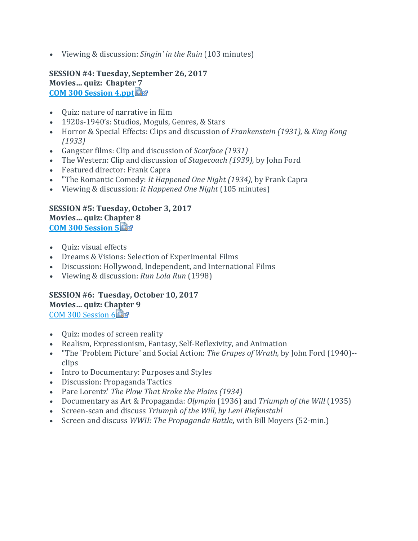Viewing & discussion: *Singin' in the Rain* (103 minutes)

**SESSION #4: Tuesday, September 26, 2017 Movies… quiz: Chapter 7 [COM 300 Session 4.ppt](https://canvas.pointloma.edu/courses/34280/files/1331943/download?wrap=1)**

- Quiz: nature of narrative in film
- 1920s-1940's: Studios, Moguls, Genres, & Stars
- Horror & Special Effects: Clips and discussion of *Frankenstein (1931),* & *King Kong (1933)*
- Gangster films: Clip and discussion of *Scarface (1931)*
- The Western: Clip and discussion of *Stagecoach (1939),* by John Ford
- Featured director: Frank Capra
- "The Romantic Comedy: *It Happened One Night (1934)*, by Frank Capra
- Viewing & discussion: *It Happened One Night* (105 minutes)

### **SESSION #5: Tuesday, October 3, 2017 Movies… quiz: Chapter 8 [COM 300 Session 5](https://canvas.pointloma.edu/courses/34280/files/1331942/download?wrap=1)**

- Quiz: visual effects
- Dreams & Visions: Selection of Experimental Films
- Discussion: Hollywood, Independent, and International Films
- Viewing & discussion: *Run Lola Run* (1998)

#### **SESSION #6: Tuesday, October 10, 2017 Movies… quiz: Chapter 9** [COM 300 Session 6](https://canvas.pointloma.edu/courses/34280/files/1331930/download?wrap=1)

- Quiz: modes of screen reality
- Realism, Expressionism, Fantasy, Self-Reflexivity, and Animation
- "The 'Problem Picture' and Social Action: *The Grapes of Wrath,* by John Ford (1940)- clips
- Intro to Documentary: Purposes and Styles
- Discussion: Propaganda Tactics
- Pare Lorentz' *The Plow That Broke the Plains (1934)*
- Documentary as Art & Propaganda: *Olympia* (1936) and *Triumph of the Will* (1935)
- Screen-scan and discuss *Triumph of the Will, by Leni Riefenstahl*
- Screen and discuss *WWII: The Propaganda Battle,* with Bill Moyers (52-min.)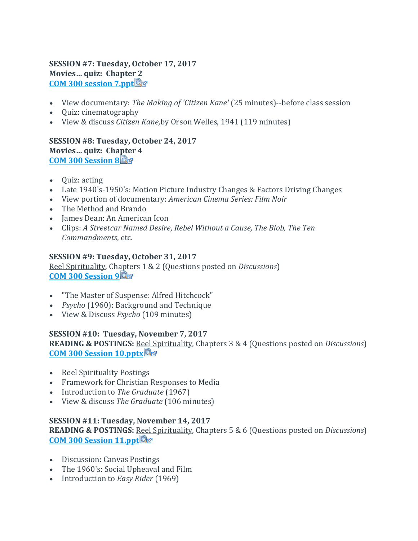### **SESSION #7: Tuesday, October 17, 2017 Movies… quiz: Chapter 2 [COM 300 session 7.ppt](https://canvas.pointloma.edu/courses/34280/files/1331927/download?wrap=1)**

- View documentary: *The Making of 'Citizen Kane'* (25 minutes)--before class session
- Quiz: cinematography
- View & discuss *Citizen Kane,*by Orson Welles, 1941 (119 minutes)

### **SESSION #8: Tuesday, October 24, 2017 Movies… quiz: Chapter 4 [COM 300 Session 8](https://canvas.pointloma.edu/courses/34280/files/1331934/download?wrap=1)**

- Ouiz: acting
- Late 1940's-1950's: Motion Picture Industry Changes & Factors Driving Changes
- View portion of documentary: *American Cinema Series: Film Noir*
- The Method and Brando
- James Dean: An American Icon
- Clips: *A Streetcar Named Desire*, *Rebel Without a Cause, The Blob, The Ten Commandments*, etc.

### **SESSION #9: Tuesday, October 31, 2017**

Reel Spirituality, Chapters 1 & 2 (Questions posted on *Discussions*) **[COM 300 Session 9](https://canvas.pointloma.edu/courses/34280/files/1331935/download?wrap=1)**

- "The Master of Suspense: Alfred Hitchcock"
- *Psycho* (1960): Background and Technique
- View & Discuss *Psycho* (109 minutes)

### **SESSION #10: Tuesday, November 7, 2017**

**READING & POSTINGS:** R[eel](https://canvas.pointloma.edu/courses/34280/files/1331931/download?wrap=1) Spirituality, Chapters 3 & 4 (Questions posted on *Discussions*) **[COM 300 Session 10.pptx](https://canvas.pointloma.edu/courses/34280/files/1331931/download?wrap=1)**

- Reel Spirituality Postings
- Framework for Christian Responses to Media
- Introduction to *The Graduate* (1967)
- View & discuss *The Graduate* (106 minutes)

### **SESSION #11: Tuesday, November 14, 2017**

**READING & POSTINGS:** Reel Spirituality, Chapters 5 & 6 (Questions posted on *Discussions*) **[COM 300 Session 11.ppt](https://canvas.pointloma.edu/courses/34280/files/1331932/download?wrap=1)** 

- Discussion: Canvas Postings
- The 1960's: Social Upheaval and Film
- Introduction to *Easy Rider* (1969)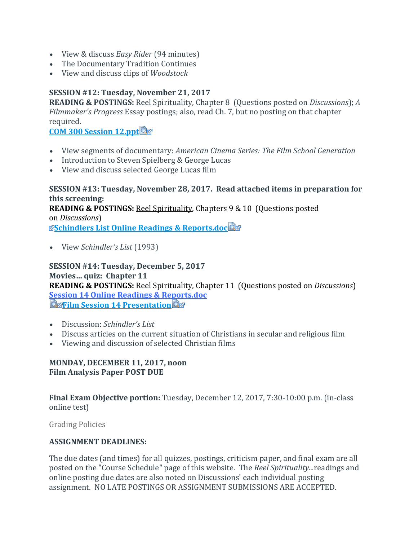- View & discuss *Easy Rider* (94 minutes)
- The Documentary Tradition Continues
- View and discuss clips of *Woodstock*

## **SESSION #12: Tuesday, November 21, 2017**

**READING & POSTINGS:** Reel Spirituality, Chapter 8 (Questions posted on *Discussions*); *A Filmmaker's Progress* Essay postings; also, read Ch. 7, but no posting on that chapter required.

**[COM 300 Session 12.ppt](https://canvas.pointloma.edu/courses/34280/files/1331937/download?wrap=1)** 

- View segments of documentary: *American Cinema Series: The Film School Generation*
- Introduction to Steven Spielberg & George Lucas
- View and discuss selected George Lucas film

#### **SESSION #13: Tuesday, November 28, 2017. Read attached items in preparation for this screening:**

**READING & POSTINGS:** Reel Spirituality, Chapters 9 & 10 (Questions posted on *Discussions*[\)](http://canvas.pointloma.edu/) **[Schindlers List Online Readings & Reports.doc](https://canvas.pointloma.edu/courses/34280/files/1331938/download?wrap=1)**

View *Schindler's List* (1993)

**SESSION #14: Tuesday, December 5, 2017 Movies… quiz: Chapter 11 READING & POSTINGS:** Reel Spirituality, Chapter 11 (Questions posted on *Discussions*) **[Session 14 Online Readings & Reports.doc](https://canvas.pointloma.edu/courses/34280/files/1331982/download?wrap=1) E**derilm Session 14 Presentation

- Discussion: *Schindler's List*
- Discuss articles on the current situation of Christians in secular and religious film
- Viewing and discussion of selected Christian films

### **MONDAY, DECEMBER 11, 2017, noon Film Analysis Paper POST DUE**

**Final Exam Objective portion:** Tuesday, December 12, 2017, 7:30-10:00 p.m. (in-class online test)

Grading Policies

### **ASSIGNMENT DEADLINES:**

The due dates (and times) for all quizzes, postings, criticism paper, and final exam are all posted on the "Course Schedule" page of this website. The *Reel Spirituality...*readings and online posting due dates are also noted on Discussions' each individual posting assignment. NO LATE POSTINGS OR ASSIGNMENT SUBMISSIONS ARE ACCEPTED.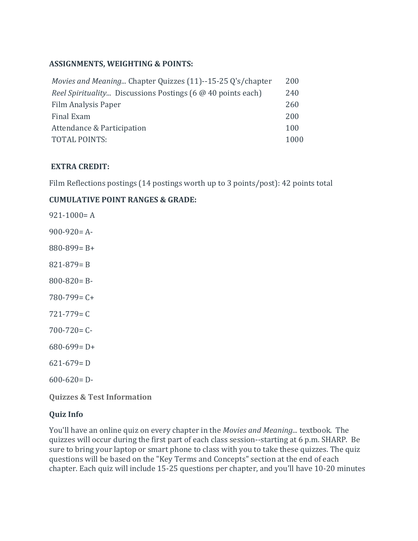### **ASSIGNMENTS, WEIGHTING & POINTS:**

| Movies and Meaning Chapter Quizzes (11)--15-25 Q's/chapter         | 200  |
|--------------------------------------------------------------------|------|
| <i>Reel Spirituality</i> Discussions Postings (6 @ 40 points each) | 240  |
| Film Analysis Paper                                                | 260  |
| Final Exam                                                         | 200  |
| Attendance & Participation                                         | 100  |
| <b>TOTAL POINTS:</b>                                               | 1000 |

### **EXTRA CREDIT:**

Film Reflections postings (14 postings worth up to 3 points/post): 42 points total

## **CUMULATIVE POINT RANGES & GRADE:**

| $921 - 1000 = A$                      |
|---------------------------------------|
| $900 - 920 = A$                       |
| $880 - 899 = B +$                     |
| $821 - 879 = B$                       |
| $800 - 820 = B$                       |
| $780 - 799 = C +$                     |
| $721 - 779 = C$                       |
| $700 - 720 = C$                       |
| $680 - 699 = D +$                     |
| $621 - 679 = D$                       |
| $600 - 620 = D$                       |
| <b>Quizzes &amp; Test Information</b> |

## **Quiz Info**

You'll have an online quiz on every chapter in the *Movies and Meaning...* textbook. The quizzes will occur during the first part of each class session--starting at 6 p.m. SHARP. Be sure to bring your laptop or smart phone to class with you to take these quizzes. The quiz questions will be based on the "Key Terms and Concepts" section at the end of each chapter. Each quiz will include 15-25 questions per chapter, and you'll have 10-20 minutes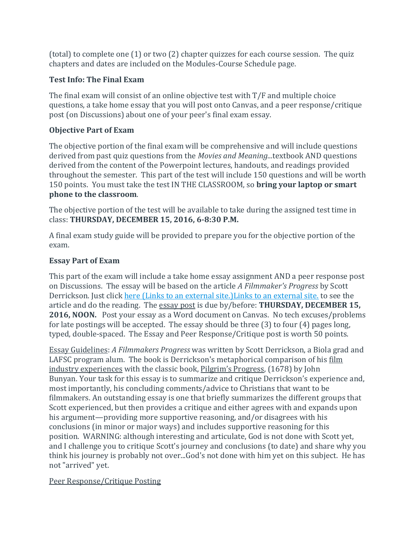(total) to complete one (1) or two (2) chapter quizzes for each course session. The quiz chapters and dates are included on the Modules-Course Schedule page.

## **Test Info: The Final Exam**

The final exam will consist of an online objective test with  $T/F$  and multiple choice questions, a take home essay that you will post onto Canvas, and a peer response/critique post (on Discussions) about one of your peer's final exam essay.

# **Objective Part of Exam**

The objective portion of the final exam will be comprehensive and will include questions derived from past quiz questions from the *Movies and Meaning...*textbook AND questions derived from the content of the Powerpoint lectures, handouts, and readings provided throughout the semester. This part of the test will include 150 questions and will be worth 150 points. You must take the test IN THE CLASSROOM, so **bring your laptop or smart phone to the classroom**.

The objective portion of the test will be available to take during the assigned test time in class: **THURSDAY, DECEMBER 15, 2016, 6-8:30 P.M.**

A final exam study guide will be provided to prepare you for the objective portion of the exam.

# **Essay Part of Exam**

This part of the exam will include a take home essay assignment AND a peer response post on Discussions. The essay will be based on the article *A Filmmaker's Progress* by Scott Derrickson. Just click here (Links to an external [site.\)Links](http://www.youthworker.com/youth-ministry-resources-ideas/youth-ministry/11552612/) to an external site, to see the article and do the reading. The essay post is due by/before: **THURSDAY, DECEMBER 15, 2016, NOON.** Post your essay as a Word document on Canvas. No tech excuses/problems for late postings will be accepted. The essay should be three (3) to four (4) pages long, typed, double-spaced. The Essay and Peer Response/Critique post is worth 50 points.

Essay Guidelines: *A Filmmakers Progress* was written by Scott Derrickson, a Biola grad and LAFSC program alum. The book is Derrickson's metaphorical comparison of his film industry experiences with the classic book, Pilgrim's Progress, (1678) by John Bunyan. Your task for this essay is to summarize and critique Derrickson's experience and, most importantly, his concluding comments/advice to Christians that want to be filmmakers. An outstanding essay is one that briefly summarizes the different groups that Scott experienced, but then provides a critique and either agrees with and expands upon his argument—providing more supportive reasoning, and/or disagrees with his conclusions (in minor or major ways) and includes supportive reasoning for this position. WARNING: although interesting and articulate, God is not done with Scott yet, and I challenge you to critique Scott's journey and conclusions (to date) and share why you think his journey is probably not over...God's not done with him yet on this subject. He has not "arrived" yet.

## Peer Response/Critique Posting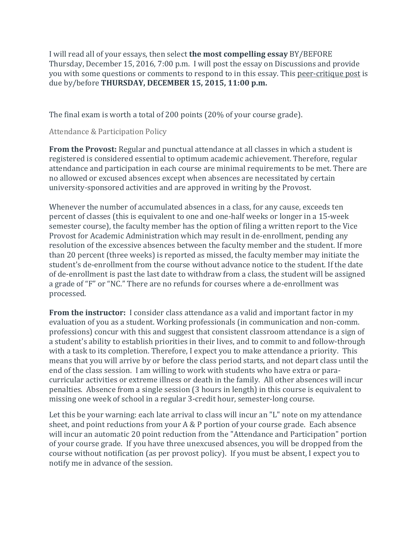I will read all of your essays, then select **the most compelling essay** BY/BEFORE Thursday, December 15, 2016, 7:00 p.m. I will post the essay on Discussions and provide you with some questions or comments to respond to in this essay. This peer-critique post is due by/before **THURSDAY, DECEMBER 15, 2015, 11:00 p.m.**

The final exam is worth a total of 200 points (20% of your course grade).

Attendance & Participation Policy

**From the Provost:** Regular and punctual attendance at all classes in which a student is registered is considered essential to optimum academic achievement. Therefore, regular attendance and participation in each course are minimal requirements to be met. There are no allowed or excused absences except when absences are necessitated by certain university-sponsored activities and are approved in writing by the Provost.

Whenever the number of accumulated absences in a class, for any cause, exceeds ten percent of classes (this is equivalent to one and one-half weeks or longer in a 15-week semester course), the faculty member has the option of filing a written report to the Vice Provost for Academic Administration which may result in de-enrollment, pending any resolution of the excessive absences between the faculty member and the student. If more than 20 percent (three weeks) is reported as missed, the faculty member may initiate the student's de-enrollment from the course without advance notice to the student. If the date of de-enrollment is past the last date to withdraw from a class, the student will be assigned a grade of "F" or "NC." There are no refunds for courses where a de-enrollment was processed.

**From the instructor:** I consider class attendance as a valid and important factor in my evaluation of you as a student. Working professionals (in communication and non-comm. professions) concur with this and suggest that consistent classroom attendance is a sign of a student's ability to establish priorities in their lives, and to commit to and follow-through with a task to its completion. Therefore, I expect you to make attendance a priority. This means that you will arrive by or before the class period starts, and not depart class until the end of the class session. I am willing to work with students who have extra or paracurricular activities or extreme illness or death in the family. All other absences will incur penalties. Absence from a single session (3 hours in length) in this course is equivalent to missing one week of school in a regular 3-credit hour, semester-long course.

Let this be your warning: each late arrival to class will incur an "L" note on my attendance sheet, and point reductions from your A & P portion of your course grade. Each absence will incur an automatic 20 point reduction from the "Attendance and Participation" portion of your course grade. If you have three unexcused absences, you will be dropped from the course without notification (as per provost policy). If you must be absent, I expect you to notify me in advance of the session.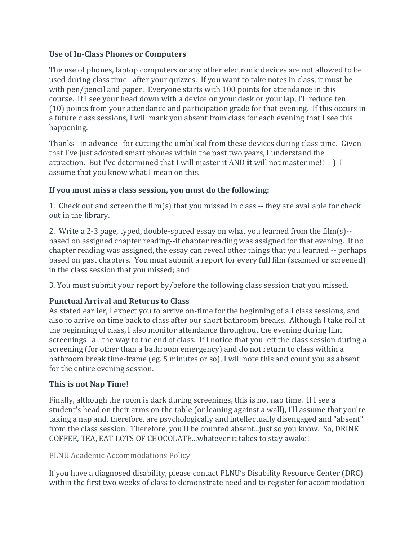### **Use of In-Class Phones or Computers**

The use of phones, laptop computers or any other electronic devices are not allowed to be used during class time--after your quizzes. If you want to take notes in class, it must be with pen/pencil and paper. Everyone starts with 100 points for attendance in this course. If I see your head down with a device on your desk or your lap, I'll reduce ten (10) points from your attendance and participation grade for that evening. If this occurs in a future class sessions, I will mark you absent from class for each evening that I see this happening.

Thanks--in advance--for cutting the umbilical from these devices during class time. Given that I've just adopted smart phones within the past two years, I understand the attraction. But I've determined that **I** will master it AND **it** will not master me!! :-) I assume that you know what I mean on this.

### **If you must miss a class session, you must do the following:**

1. Check out and screen the film(s) that you missed in class -- they are available for check out in the library.

2. Write a 2-3 page, typed, double-spaced essay on what you learned from the film(s)- based on assigned chapter reading--if chapter reading was assigned for that evening. If no chapter reading was assigned, the essay can reveal other things that you learned -- perhaps based on past chapters. You must submit a report for every full film (scanned or screened) in the class session that you missed; and

3. You must submit your report by/before the following class session that you missed.

## **Punctual Arrival and Returns to Class**

As stated earlier, I expect you to arrive on-time for the beginning of all class sessions, and also to arrive on time back to class after our short bathroom breaks. Although I take roll at the beginning of class, I also monitor attendance throughout the evening during film screenings--all the way to the end of class. If I notice that you left the class session during a screening (for other than a bathroom emergency) and do not return to class within a bathroom break time-frame (eg. 5 minutes or so), I will note this and count you as absent for the entire evening session.

## **This is not Nap Time!**

Finally, although the room is dark during screenings, this is not nap time. If I see a student's head on their arms on the table (or leaning against a wall), I'll assume that you're taking a nap and, therefore, are psychologically and intellectually disengaged and "absent" from the class session. Therefore, you'll be counted absent...just so you know. So, DRINK COFFEE, TEA, EAT LOTS OF CHOCOLATE...whatever it takes to stay awake!

PLNU Academic Accommodations Policy

If you have a diagnosed disability, please contact PLNU's Disability Resource Center (DRC) within the first two weeks of class to demonstrate need and to register for accommodation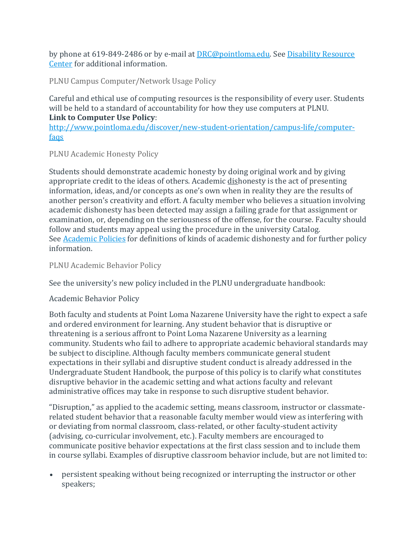by phone at 619-849-2486 or by e-mail at [DRC@pointloma.edu.](mailto:DRC@pointloma.edu) See [Disability Resource](http://www.pointloma.edu/experience/offices/administrative-offices/academic-advising-office/disability-resource-center)  [Center](http://www.pointloma.edu/experience/offices/administrative-offices/academic-advising-office/disability-resource-center) for additional information.

PLNU Campus Computer/Network Usage Policy

Careful and ethical use of computing resources is the responsibility of every user. Students will be held to a standard of accountability for how they use computers at PLNU. **Link to Computer Use Policy**:

[http://www.pointloma.edu/discover/new-student-orientation/campus-life/computer](http://www.pointloma.edu/discover/new-student-orientation/campus-life/computer-faqs)[faqs](http://www.pointloma.edu/discover/new-student-orientation/campus-life/computer-faqs)

PLNU Academic Honesty Policy

Students should demonstrate academic honesty by doing original work and by giving appropriate credit to the ideas of others. Academic dishonesty is the act of presenting information, ideas, and/or concepts as one's own when in reality they are the results of another person's creativity and effort. A faculty member who believes a situation involving academic dishonesty has been detected may assign a failing grade for that assignment or examination, or, depending on the seriousness of the offense, for the course. Faculty should follow and students may appeal using the procedure in the university Catalog. See [Academic Policies](http://catalog.pointloma.edu/content.php?catoid=18&navoid=1278) for definitions of kinds of academic dishonesty and for further policy information.

PLNU Academic Behavior Policy

See the university's new policy included in the PLNU undergraduate handbook:

Academic Behavior Policy

Both faculty and students at Point Loma Nazarene University have the right to expect a safe and ordered environment for learning. Any student behavior that is disruptive or threatening is a serious affront to Point Loma Nazarene University as a learning community. Students who fail to adhere to appropriate academic behavioral standards may be subject to discipline. Although faculty members communicate general student expectations in their syllabi and disruptive student conduct is already addressed in the Undergraduate Student Handbook, the purpose of this policy is to clarify what constitutes disruptive behavior in the academic setting and what actions faculty and relevant administrative offices may take in response to such disruptive student behavior.

"Disruption," as applied to the academic setting, means classroom, instructor or classmaterelated student behavior that a reasonable faculty member would view as interfering with or deviating from normal classroom, class-related, or other faculty-student activity (advising, co-curricular involvement, etc.). Faculty members are encouraged to communicate positive behavior expectations at the first class session and to include them in course syllabi. Examples of disruptive classroom behavior include, but are not limited to:

 persistent speaking without being recognized or interrupting the instructor or other speakers;